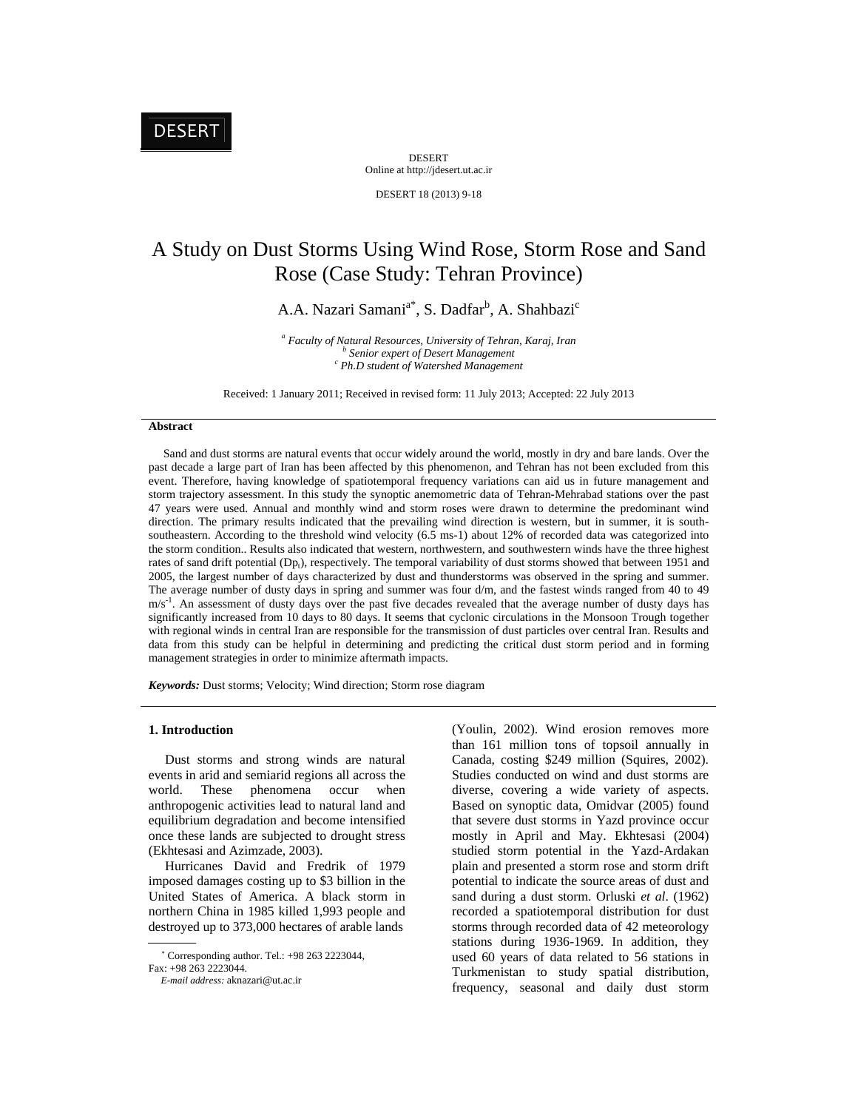DESERT Online at http://jdesert.ut.ac.ir

DESERT 18 (2013) 9-18

# A Study on Dust Storms Using Wind Rose, Storm Rose and Sand Rose (Case Study: Tehran Province)

A.A. Nazari Samani<sup>a\*</sup>, S. Dadfar<sup>b</sup>, A. Shahbazi<sup>c</sup>

<sup>a</sup> Faculty of Natural Resources, University of Tehran, Karaj, Iran b<br>b Sanjan away of Dasay Managawant <sup>*b</sup>* Senior expert of Desert Management</sup>  *Ph.D student of Watershed Management* 

Received: 1 January 2011; Received in revised form: 11 July 2013; Accepted: 22 July 2013

# **Abstract**

 Sand and dust storms are natural events that occur widely around the world, mostly in dry and bare lands. Over the past decade a large part of Iran has been affected by this phenomenon, and Tehran has not been excluded from this event. Therefore, having knowledge of spatiotemporal frequency variations can aid us in future management and storm trajectory assessment. In this study the synoptic anemometric data of Tehran-Mehrabad stations over the past 47 years were used. Annual and monthly wind and storm roses were drawn to determine the predominant wind direction. The primary results indicated that the prevailing wind direction is western, but in summer, it is southsoutheastern. According to the threshold wind velocity (6.5 ms-1) about 12% of recorded data was categorized into the storm condition.. Results also indicated that western, northwestern, and southwestern winds have the three highest rates of sand drift potential  $(Dp_t)$ , respectively. The temporal variability of dust storms showed that between 1951 and 2005, the largest number of days characterized by dust and thunderstorms was observed in the spring and summer. The average number of dusty days in spring and summer was four d/m, and the fastest winds ranged from 40 to 49  $m/s<sup>-1</sup>$ . An assessment of dusty days over the past five decades revealed that the average number of dusty days has significantly increased from 10 days to 80 days. It seems that cyclonic circulations in the Monsoon Trough together with regional winds in central Iran are responsible for the transmission of dust particles over central Iran. Results and data from this study can be helpful in determining and predicting the critical dust storm period and in forming management strategies in order to minimize aftermath impacts.

*Keywords:* Dust storms; Velocity; Wind direction; Storm rose diagram

#### **1. Introduction**

 Dust storms and strong winds are natural events in arid and semiarid regions all across the world. These phenomena occur when anthropogenic activities lead to natural land and equilibrium degradation and become intensified once these lands are subjected to drought stress (Ekhtesasi and Azimzade, 2003).

 Hurricanes David and Fredrik of 1979 imposed damages costing up to \$3 billion in the United States of America. A black storm in northern China in 1985 killed 1,993 people and destroyed up to 373,000 hectares of arable lands

 $\sim$ Corresponding author. Tel.: +98 263 2223044, (Youlin, 2002). Wind erosion removes more than 161 million tons of topsoil annually in Canada, costing \$249 million (Squires, 2002). Studies conducted on wind and dust storms are diverse, covering a wide variety of aspects. Based on synoptic data, Omidvar (2005) found that severe dust storms in Yazd province occur mostly in April and May. Ekhtesasi (2004) studied storm potential in the Yazd-Ardakan plain and presented a storm rose and storm drift potential to indicate the source areas of dust and sand during a dust storm. Orluski *et al*. (1962) recorded a spatiotemporal distribution for dust storms through recorded data of 42 meteorology stations during 1936-1969. In addition, they used 60 years of data related to 56 stations in Turkmenistan to study spatial distribution, frequency, seasonal and daily dust storm

 $Fax: +98.263.2223044$ 

*E-mail address:* aknazari@ut.ac.ir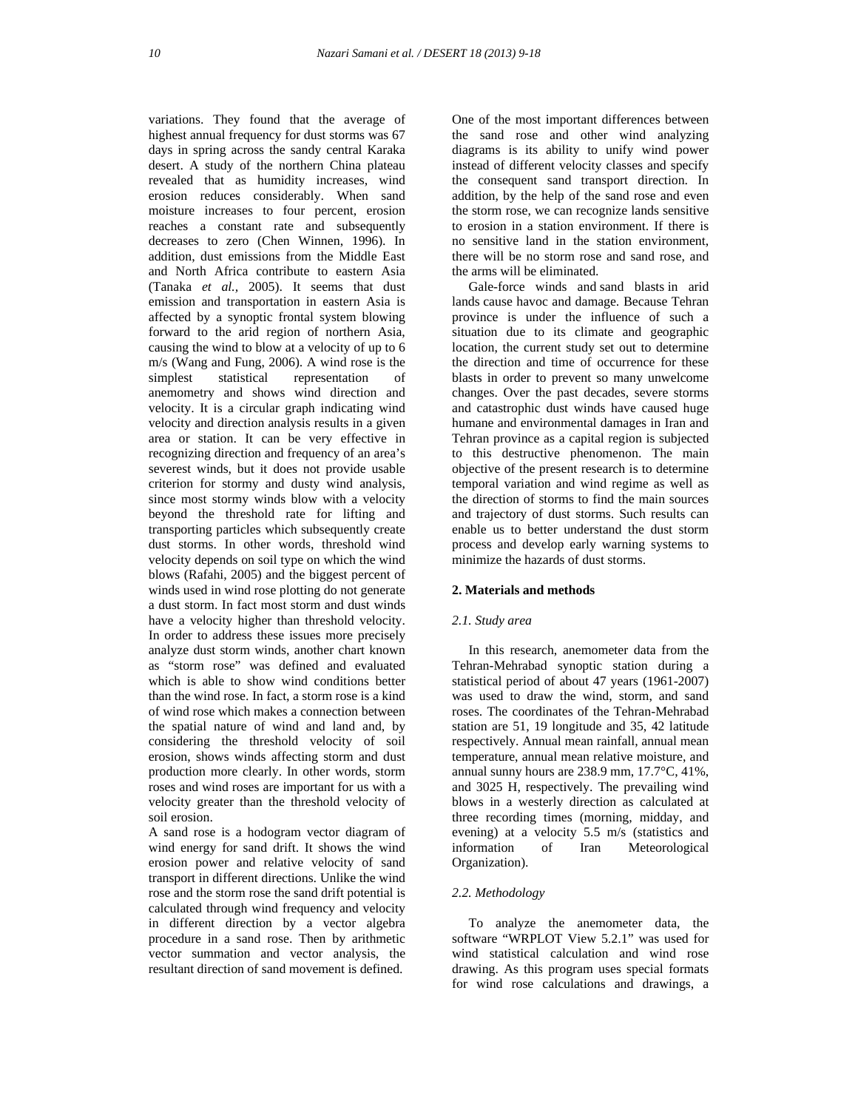variations. They found that the average of highest annual frequency for dust storms was 67 days in spring across the sandy central Karaka desert. A study of the northern China plateau revealed that as humidity increases, wind erosion reduces considerably. When sand moisture increases to four percent, erosion reaches a constant rate and subsequently decreases to zero (Chen Winnen, 1996). In addition, dust emissions from the Middle East and North Africa contribute to eastern Asia (Tanaka *et al.,* 2005). It seems that dust emission and transportation in eastern Asia is affected by a synoptic frontal system blowing forward to the arid region of northern Asia, causing the wind to blow at a velocity of up to 6 m/s (Wang and Fung, 2006). A wind rose is the simplest statistical representation of anemometry and shows wind direction and velocity. It is a circular graph indicating wind velocity and direction analysis results in a given area or station. It can be very effective in recognizing direction and frequency of an area's severest winds, but it does not provide usable criterion for stormy and dusty wind analysis, since most stormy winds blow with a velocity beyond the threshold rate for lifting and transporting particles which subsequently create dust storms. In other words, threshold wind velocity depends on soil type on which the wind blows (Rafahi, 2005) and the biggest percent of winds used in wind rose plotting do not generate a dust storm. In fact most storm and dust winds have a velocity higher than threshold velocity. In order to address these issues more precisely analyze dust storm winds, another chart known as "storm rose" was defined and evaluated which is able to show wind conditions better than the wind rose. In fact, a storm rose is a kind of wind rose which makes a connection between the spatial nature of wind and land and, by considering the threshold velocity of soil erosion, shows winds affecting storm and dust production more clearly. In other words, storm roses and wind roses are important for us with a velocity greater than the threshold velocity of soil erosion.

A sand rose is a hodogram vector diagram of wind energy for sand drift. It shows the wind erosion power and relative velocity of sand transport in different directions. Unlike the wind rose and the storm rose the sand drift potential is calculated through wind frequency and velocity in different direction by a vector algebra procedure in a sand rose. Then by arithmetic vector summation and vector analysis, the resultant direction of sand movement is defined.

One of the most important differences between the sand rose and other wind analyzing diagrams is its ability to unify wind power instead of different velocity classes and specify the consequent sand transport direction. In addition, by the help of the sand rose and even the storm rose, we can recognize lands sensitive to erosion in a station environment. If there is no sensitive land in the station environment, there will be no storm rose and sand rose, and the arms will be eliminated.

 Gale-force winds and sand blasts in arid lands cause havoc and damage. Because Tehran province is under the influence of such a situation due to its climate and geographic location, the current study set out to determine the direction and time of occurrence for these blasts in order to prevent so many unwelcome changes. Over the past decades, severe storms and catastrophic dust winds have caused huge humane and environmental damages in Iran and Tehran province as a capital region is subjected to this destructive phenomenon. The main objective of the present research is to determine temporal variation and wind regime as well as the direction of storms to find the main sources and trajectory of dust storms. Such results can enable us to better understand the dust storm process and develop early warning systems to minimize the hazards of dust storms.

#### **2. Materials and methods**

#### *2.1. Study area*

 In this research, anemometer data from the Tehran-Mehrabad synoptic station during a statistical period of about 47 years (1961-2007) was used to draw the wind, storm, and sand roses. The coordinates of the Tehran-Mehrabad station are 51, 19 longitude and 35, 42 latitude respectively. Annual mean rainfall, annual mean temperature, annual mean relative moisture, and annual sunny hours are 238.9 mm, 17.7°C, 41%, and 3025 H, respectively. The prevailing wind blows in a westerly direction as calculated at three recording times (morning, midday, and evening) at a velocity 5.5 m/s (statistics and information of Iran Meteorological Organization).

#### *2.2. Methodology*

 To analyze the anemometer data, the software "WRPLOT View 5.2.1" was used for wind statistical calculation and wind rose drawing. As this program uses special formats for wind rose calculations and drawings, a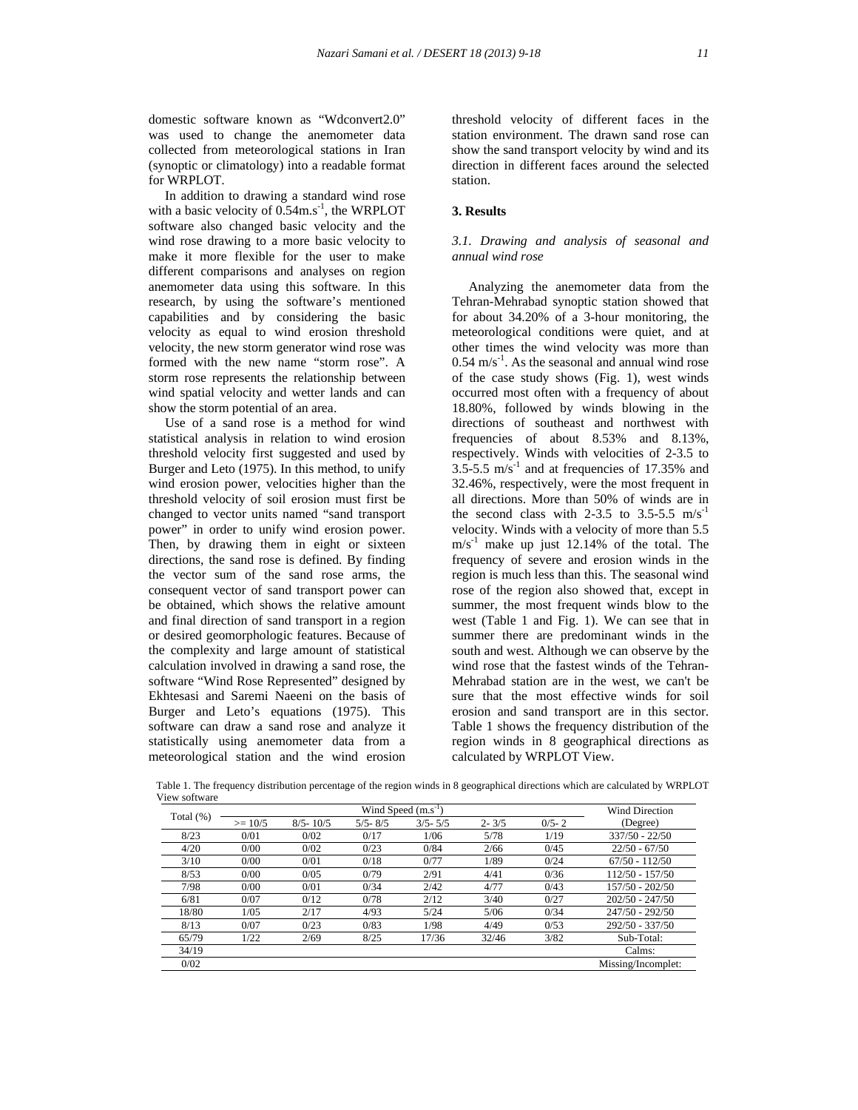domestic software known as "Wdconvert2.0" was used to change the anemometer data collected from meteorological stations in Iran (synoptic or climatology) into a readable format for WRPLOT.

 In addition to drawing a standard wind rose with a basic velocity of  $0.54$ m.s<sup>-1</sup>, the WRPLOT software also changed basic velocity and the wind rose drawing to a more basic velocity to make it more flexible for the user to make different comparisons and analyses on region anemometer data using this software. In this research, by using the software's mentioned capabilities and by considering the basic velocity as equal to wind erosion threshold velocity, the new storm generator wind rose was formed with the new name "storm rose". A storm rose represents the relationship between wind spatial velocity and wetter lands and can show the storm potential of an area.

 Use of a sand rose is a method for wind statistical analysis in relation to wind erosion threshold velocity first suggested and used by Burger and Leto (1975). In this method, to unify wind erosion power, velocities higher than the threshold velocity of soil erosion must first be changed to vector units named "sand transport power" in order to unify wind erosion power. Then, by drawing them in eight or sixteen directions, the sand rose is defined. By finding the vector sum of the sand rose arms, the consequent vector of sand transport power can be obtained, which shows the relative amount and final direction of sand transport in a region or desired geomorphologic features. Because of the complexity and large amount of statistical calculation involved in drawing a sand rose, the software "Wind Rose Represented" designed by Ekhtesasi and Saremi Naeeni on the basis of Burger and Leto's equations (1975). This software can draw a sand rose and analyze it statistically using anemometer data from a meteorological station and the wind erosion

threshold velocity of different faces in the station environment. The drawn sand rose can show the sand transport velocity by wind and its direction in different faces around the selected station.

### **3. Results**

# *3.1. Drawing and analysis of seasonal and annual wind rose*

 Analyzing the anemometer data from the Tehran-Mehrabad synoptic station showed that for about 34.20% of a 3-hour monitoring, the meteorological conditions were quiet, and at other times the wind velocity was more than  $0.54 \text{ m/s}^{-1}$ . As the seasonal and annual wind rose of the case study shows (Fig. 1), west winds occurred most often with a frequency of about 18.80%, followed by winds blowing in the directions of southeast and northwest with frequencies of about 8.53% and 8.13%, respectively. Winds with velocities of 2-3.5 to  $3.5-5.5$  m/s<sup>-1</sup> and at frequencies of 17.35% and 32.46%, respectively, were the most frequent in all directions. More than 50% of winds are in the second class with 2-3.5 to 3.5-5.5  $\text{m/s}^{-1}$ velocity. Winds with a velocity of more than 5.5  $m/s<sup>-1</sup>$  make up just 12.14% of the total. The frequency of severe and erosion winds in the region is much less than this. The seasonal wind rose of the region also showed that, except in summer, the most frequent winds blow to the west (Table 1 and Fig. 1). We can see that in summer there are predominant winds in the south and west. Although we can observe by the wind rose that the fastest winds of the Tehran-Mehrabad station are in the west, we can't be sure that the most effective winds for soil erosion and sand transport are in this sector. Table 1 shows the frequency distribution of the region winds in 8 geographical directions as calculated by WRPLOT View.

 Table 1. The frequency distribution percentage of the region winds in 8 geographical directions which are calculated by WRPLOT View software

| Total $(\%)$ |           | <b>Wind Direction</b> |             |             |           |           |                    |
|--------------|-----------|-----------------------|-------------|-------------|-----------|-----------|--------------------|
|              | $>= 10/5$ | $8/5 - 10/5$          | $5/5 - 8/5$ | $3/5 - 5/5$ | $2 - 3/5$ | $0/5 - 2$ | (Degree)           |
| 8/23         | 0/01      | 0/02                  | 0/17        | 1/06        | 5/78      | 1/19      | $337/50 - 22/50$   |
| 4/20         | 0/00      | 0/02                  | 0/23        | 0/84        | 2/66      | 0/45      | $22/50 - 67/50$    |
| 3/10         | 0/00      | 0/01                  | 0/18        | 0/77        | 1/89      | 0/24      | $67/50 - 112/50$   |
| 8/53         | 0/00      | 0/05                  | 0/79        | 2/91        | 4/41      | 0/36      | $112/50 - 157/50$  |
| 7/98         | 0/00      | 0/01                  | 0/34        | 2/42        | 4/77      | 0/43      | 157/50 - 202/50    |
| 6/81         | 0/07      | 0/12                  | 0/78        | 2/12        | 3/40      | 0/27      | $202/50 - 247/50$  |
| 18/80        | 1/05      | 2/17                  | 4/93        | 5/24        | 5/06      | 0/34      | $247/50 - 292/50$  |
| 8/13         | 0/07      | 0/23                  | 0/83        | 1/98        | 4/49      | 0/53      | 292/50 - 337/50    |
| 65/79        | 1/22      | 2/69                  | 8/25        | 17/36       | 32/46     | 3/82      | Sub-Total:         |
| 34/19        |           |                       |             |             |           |           | Calms:             |
| 0/02         |           |                       |             |             |           |           | Missing/Incomplet: |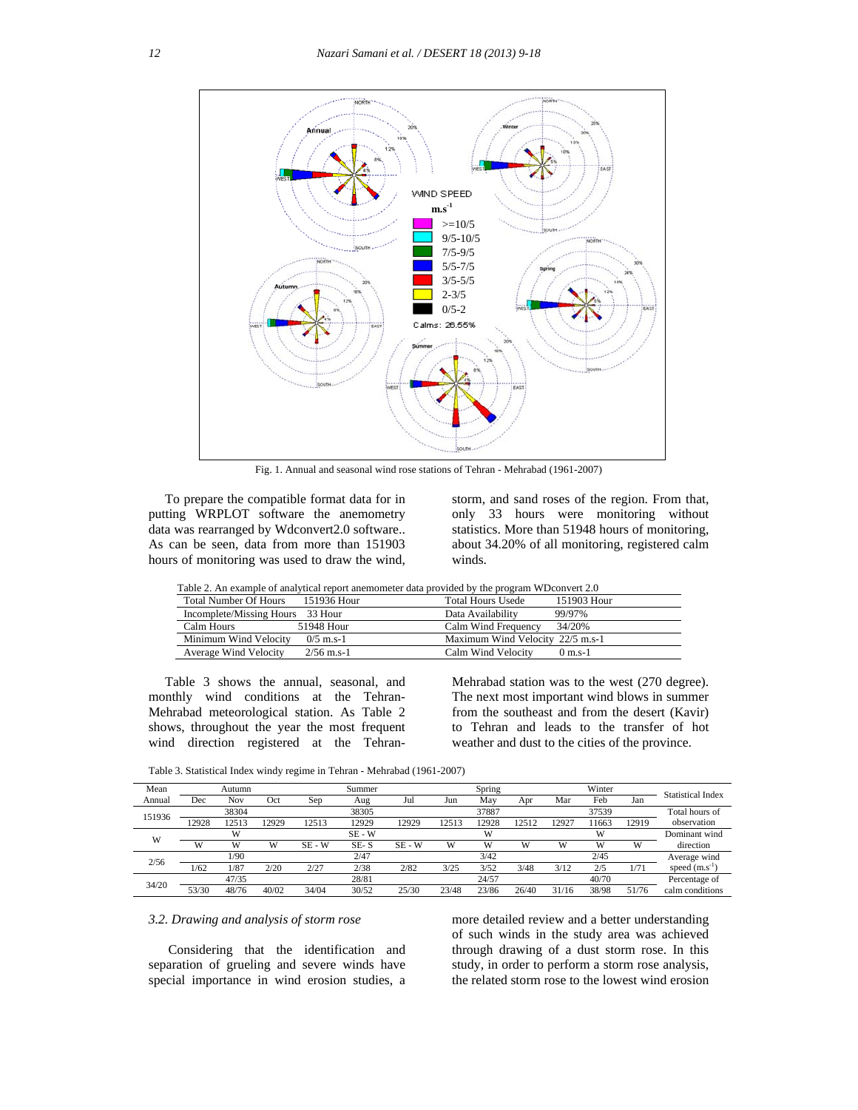

Fig. 1. Annual and seasonal wind rose stations of Tehran - Mehrabad (1961-2007)

 To prepare the compatible format data for in putting WRPLOT software the anemometry data was rearranged by Wdconvert2.0 software.. As can be seen, data from more than 151903 hours of monitoring was used to draw the wind,

storm, and sand roses of the region. From that, only 33 hours were monitoring without statistics. More than 51948 hours of monitoring, about 34.20% of all monitoring, registered calm winds.

|                                  | Table 2. An example of analytical report anemometer data provided by the program WD convert 2.0 |                                  |                   |
|----------------------------------|-------------------------------------------------------------------------------------------------|----------------------------------|-------------------|
| <b>Total Number Of Hours</b>     | 151936 Hour                                                                                     | <b>Total Hours Usede</b>         | 151903 Hour       |
| Incomplete/Missing Hours 33 Hour |                                                                                                 | Data Availability                | 99/97%            |
| Calm Hours                       | 51948 Hour                                                                                      | Calm Wind Frequency              | 34/20%            |
| Minimum Wind Velocity            | $0/5$ m.s-1                                                                                     | Maximum Wind Velocity 22/5 m.s-1 |                   |
| Average Wind Velocity            | $2/56$ m.s-1                                                                                    | Calm Wind Velocity               | $0 \text{ m.s-1}$ |

 Table 3 shows the annual, seasonal, and monthly wind conditions at the Tehran-Mehrabad meteorological station. As Table 2 shows, throughout the year the most frequent wind direction registered at the TehranMehrabad station was to the west (270 degree). The next most important wind blows in summer from the southeast and from the desert (Kavir) to Tehran and leads to the transfer of hot weather and dust to the cities of the province.

| Mean   | Autumn |       |       | Summer   |          |          | Spring |       |       | Winter |       |       | <b>Statistical Index</b> |
|--------|--------|-------|-------|----------|----------|----------|--------|-------|-------|--------|-------|-------|--------------------------|
| Annual | Dec    | Nov   | Oct   | Sep      | Aug      | Jul      | Jun    | May   | Apr   | Mar    | Feb   | Jan   |                          |
| 151936 |        | 38304 |       |          | 38305    |          |        | 37887 |       |        | 37539 |       | Total hours of           |
|        | 12928  | 12513 | 2929  | 12513    | 12929    | 12929    | 12513  | 2928  | 12512 | 2927   | 11663 | 12919 | observation              |
| W      |        | W     |       |          | $SE - W$ |          |        | W     |       |        | W     |       | Dominant wind            |
|        | W      | W     | W     | $SE - W$ | $SE-S$   | $SE - W$ | w      | W     | w     | W      | W     | w     | direction                |
| 2/56   |        | 1/90  |       |          | 2/47     |          |        | 3/42  |       |        | 2/45  |       | Average wind             |
|        | 1/62   | 1/87  | 2/20  | 2/27     | 2/38     | 2/82     | 3/25   | 3/52  | 3/48  | 3/12   | 2/5   | 1/71  | speed $(m.s^{-1})$       |
| 34/20  |        | 47/35 |       |          | 28/81    |          |        | 24/57 |       |        | 40/70 |       | Percentage of            |
|        | 53/30  | 48/76 | 40/02 | 34/04    | 30/52    | 25/30    | 23/48  | 23/86 | 26/40 | 31/16  | 38/98 | 51/76 | calm conditions          |

Table 3. Statistical Index windy regime in Tehran - Mehrabad (1961-2007)

#### *3.2. Drawing and analysis of storm rose*

 Considering that the identification and separation of grueling and severe winds have special importance in wind erosion studies, a

more detailed review and a better understanding of such winds in the study area was achieved through drawing of a dust storm rose. In this study, in order to perform a storm rose analysis, the related storm rose to the lowest wind erosion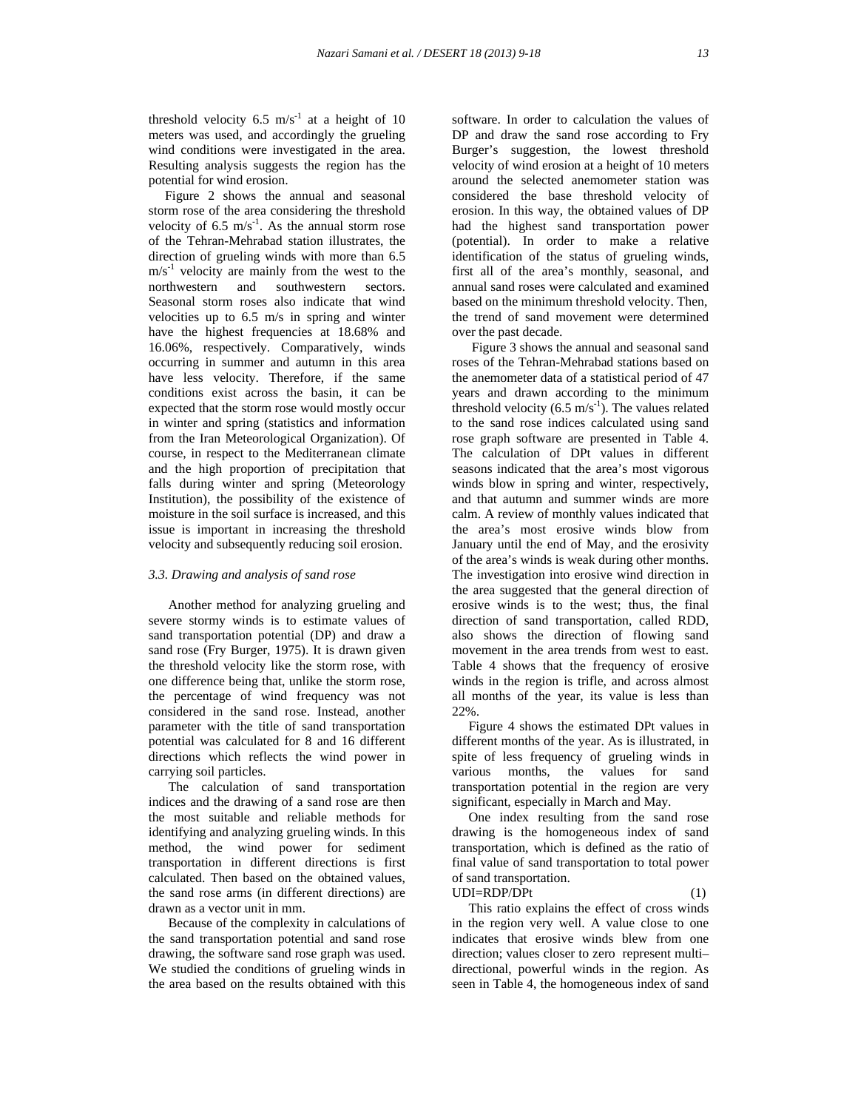threshold velocity 6.5  $m/s^{-1}$  at a height of 10 meters was used, and accordingly the grueling wind conditions were investigated in the area. Resulting analysis suggests the region has the potential for wind erosion.

 Figure 2 shows the annual and seasonal storm rose of the area considering the threshold velocity of 6.5  $\text{m/s}^{-1}$ . As the annual storm rose of the Tehran-Mehrabad station illustrates, the direction of grueling winds with more than 6.5  $m/s<sup>-1</sup>$  velocity are mainly from the west to the northwestern and southwestern sectors. Seasonal storm roses also indicate that wind velocities up to 6.5 m/s in spring and winter have the highest frequencies at 18.68% and 16.06%, respectively. Comparatively, winds occurring in summer and autumn in this area have less velocity. Therefore, if the same conditions exist across the basin, it can be expected that the storm rose would mostly occur in winter and spring (statistics and information from the Iran Meteorological Organization). Of course, in respect to the Mediterranean climate and the high proportion of precipitation that falls during winter and spring (Meteorology Institution), the possibility of the existence of moisture in the soil surface is increased, and this issue is important in increasing the threshold velocity and subsequently reducing soil erosion.

### *3.3. Drawing and analysis of sand rose*

 Another method for analyzing grueling and severe stormy winds is to estimate values of sand transportation potential (DP) and draw a sand rose (Fry Burger, 1975). It is drawn given the threshold velocity like the storm rose, with one difference being that, unlike the storm rose, the percentage of wind frequency was not considered in the sand rose. Instead, another parameter with the title of sand transportation potential was calculated for 8 and 16 different directions which reflects the wind power in carrying soil particles.

 The calculation of sand transportation indices and the drawing of a sand rose are then the most suitable and reliable methods for identifying and analyzing grueling winds. In this method, the wind power for sediment transportation in different directions is first calculated. Then based on the obtained values, the sand rose arms (in different directions) are drawn as a vector unit in mm.

 Because of the complexity in calculations of the sand transportation potential and sand rose drawing, the software sand rose graph was used. We studied the conditions of grueling winds in the area based on the results obtained with this software. In order to calculation the values of DP and draw the sand rose according to Fry Burger's suggestion, the lowest threshold velocity of wind erosion at a height of 10 meters around the selected anemometer station was considered the base threshold velocity of erosion. In this way, the obtained values of DP had the highest sand transportation power (potential). In order to make a relative identification of the status of grueling winds, first all of the area's monthly, seasonal, and annual sand roses were calculated and examined based on the minimum threshold velocity. Then, the trend of sand movement were determined over the past decade.

 Figure 3 shows the annual and seasonal sand roses of the Tehran-Mehrabad stations based on the anemometer data of a statistical period of 47 years and drawn according to the minimum threshold velocity  $(6.5 \text{ m/s}^3)$ . The values related to the sand rose indices calculated using sand rose graph software are presented in Table 4. The calculation of DPt values in different seasons indicated that the area's most vigorous winds blow in spring and winter, respectively, and that autumn and summer winds are more calm. A review of monthly values indicated that the area's most erosive winds blow from January until the end of May, and the erosivity of the area's winds is weak during other months. The investigation into erosive wind direction in the area suggested that the general direction of erosive winds is to the west; thus, the final direction of sand transportation, called RDD, also shows the direction of flowing sand movement in the area trends from west to east. Table 4 shows that the frequency of erosive winds in the region is trifle, and across almost all months of the year, its value is less than 22%.

 Figure 4 shows the estimated DPt values in different months of the year. As is illustrated, in spite of less frequency of grueling winds in various months, the values for sand transportation potential in the region are very significant, especially in March and May.

 One index resulting from the sand rose drawing is the homogeneous index of sand transportation, which is defined as the ratio of final value of sand transportation to total power of sand transportation.  $UDI=RDP/DPt$  (1)

 This ratio explains the effect of cross winds in the region very well. A value close to one indicates that erosive winds blew from one direction; values closer to zero represent multi– directional, powerful winds in the region. As seen in Table 4, the homogeneous index of sand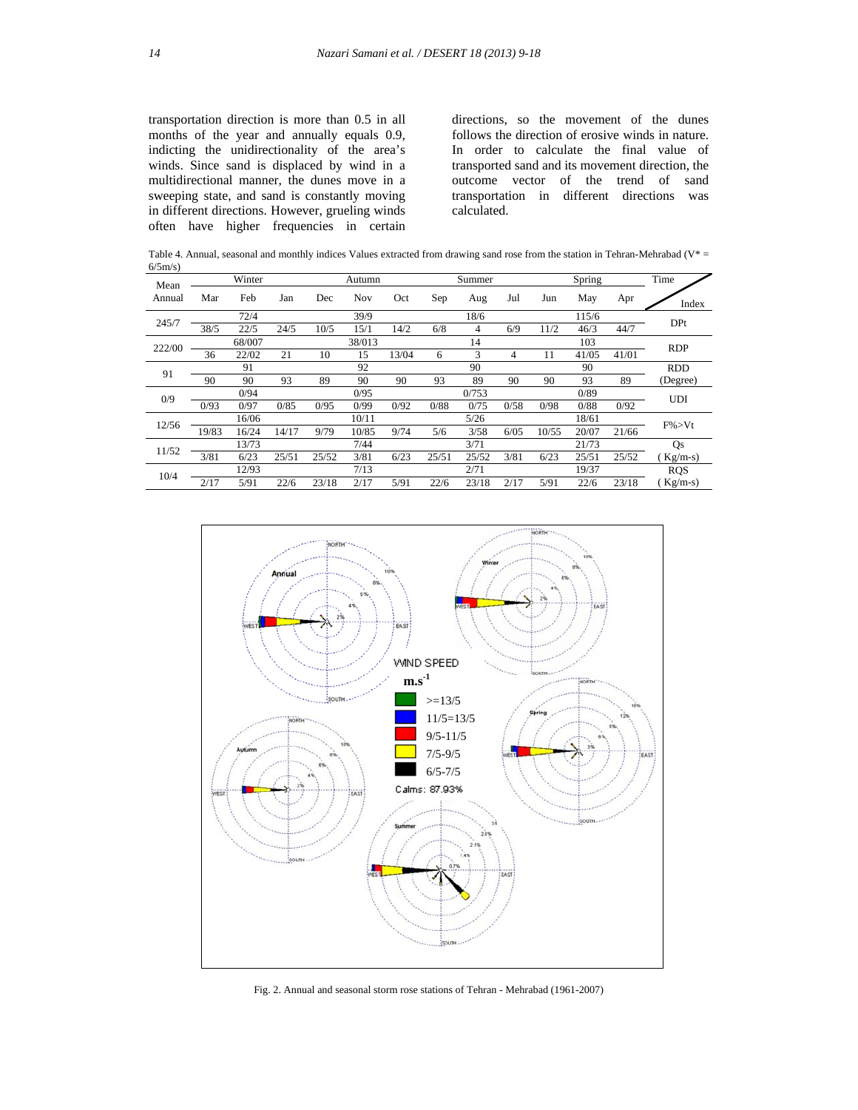transportation direction is more than 0.5 in all months of the year and annually equals 0.9, indicting the unidirectionality of the area's winds. Since sand is displaced by wind in a multidirectional manner, the dunes move in a sweeping state, and sand is constantly moving in different directions. However, grueling winds often have higher frequencies in certain directions, so the movement of the dunes follows the direction of erosive winds in nature. In order to calculate the final value of transported sand and its movement direction, the outcome vector of the trend of sand transportation in different directions was calculated.

Table 4. Annual, seasonal and monthly indices Values extracted from drawing sand rose from the station in Tehran-Mehrabad (V\* =  $6/5m/s$ )

| Mean   | Winter |       |       | Autumn |       |       | Summer |       |      | Spring |       |       | Time       |
|--------|--------|-------|-------|--------|-------|-------|--------|-------|------|--------|-------|-------|------------|
| Annual | Mar    | Feb   | Jan   | Dec    | Nov   | Oct   | Sep    | Aug   | Jul  | Jun    | May   | Apr   | Index      |
| 245/7  | 72/4   |       |       | 39/9   |       |       | 18/6   |       |      | 115/6  |       |       | DPt        |
|        | 38/5   | 22/5  | 24/5  | 10/5   | 15/1  | 14/2  | 6/8    | 4     | 6/9  | 11/2   | 46/3  | 44/7  |            |
| 222/00 | 68/007 |       |       | 38/013 |       |       | 14     |       |      | 103    |       |       | <b>RDP</b> |
|        | 36     | 22/02 | 21    | 10     | 15    | 13/04 | 6      | 3     | 4    | 11     | 41/05 | 41/01 |            |
| 91     |        | 91    |       |        | 92    |       |        | 90    |      |        | 90    |       | <b>RDD</b> |
|        | 90     | 90    | 93    | 89     | 90    | 90    | 93     | 89    | 90   | 90     | 93    | 89    | (Degree)   |
| 0/9    | 0/94   |       |       | 0/95   |       |       | 0/753  |       |      | 0/89   |       |       | <b>UDI</b> |
|        | 0/93   | 0/97  | 0/85  | 0/95   | 0/99  | 0/92  | 0/88   | 0/75  | 0/58 | 0/98   | 0/88  | 0/92  |            |
| 12/56  |        | 16/06 |       |        | 10/11 |       |        | 5/26  |      |        | 18/61 |       | $F\% > Vt$ |
|        | 19/83  | 16/24 | 14/17 | 9/79   | 10/85 | 9/74  | 5/6    | 3/58  | 6/05 | 10/55  | 20/07 | 21/66 |            |
| 11/52  |        | 13/73 |       |        | 7/44  |       |        | 3/71  |      |        | 21/73 |       | Qs         |
|        | 3/81   | 6/23  | 25/51 | 25/52  | 3/81  | 6/23  | 25/51  | 25/52 | 3/81 | 6/23   | 25/51 | 25/52 | $Kg/m-s)$  |
| 10/4   |        | 12/93 |       |        | 7/13  |       |        | 2/71  |      |        | 19/37 |       | <b>RQS</b> |
|        | 2/17   | 5/91  | 22/6  | 23/18  | 2/17  | 5/91  | 22/6   | 23/18 | 2/17 | 5/91   | 22/6  | 23/18 | $Kg/m-s$   |



Fig. 2. Annual and seasonal storm rose stations of Tehran - Mehrabad (1961-2007)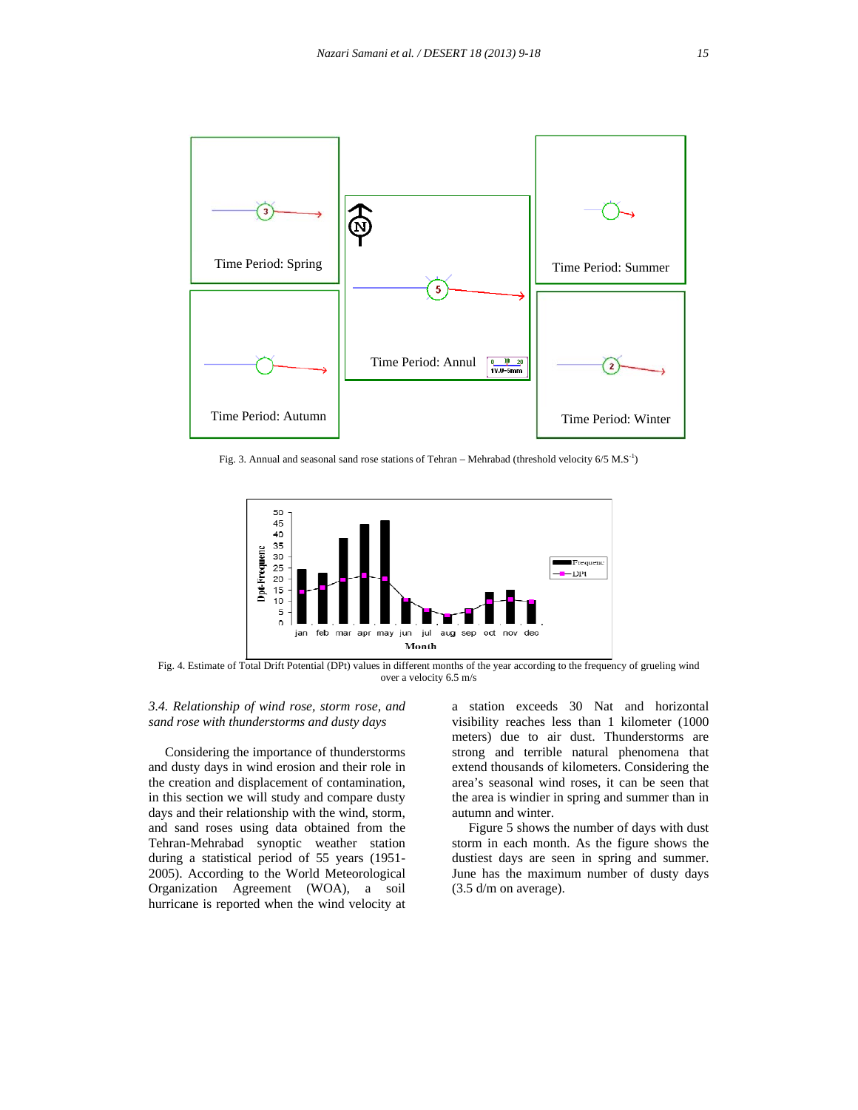

Fig. 3. Annual and seasonal sand rose stations of Tehran – Mehrabad (threshold velocity  $6/5$  M.S<sup>-1</sup>)



Fig. 4. Estimate of Total Drift Potential (DPt) values in different months of the year according to the frequency of grueling wind over a velocity 6.5 m/s

# *3.4. Relationship of wind rose, storm rose, and sand rose with thunderstorms and dusty days*

 Considering the importance of thunderstorms and dusty days in wind erosion and their role in the creation and displacement of contamination, in this section we will study and compare dusty days and their relationship with the wind, storm, and sand roses using data obtained from the Tehran-Mehrabad synoptic weather station during a statistical period of 55 years (1951- 2005). According to the World Meteorological Organization Agreement (WOA), a soil hurricane is reported when the wind velocity at a station exceeds 30 Nat and horizontal visibility reaches less than 1 kilometer (1000 meters) due to air dust. Thunderstorms are strong and terrible natural phenomena that extend thousands of kilometers. Considering the area's seasonal wind roses, it can be seen that the area is windier in spring and summer than in autumn and winter.

 Figure 5 shows the number of days with dust storm in each month. As the figure shows the dustiest days are seen in spring and summer. June has the maximum number of dusty days (3.5 d/m on average).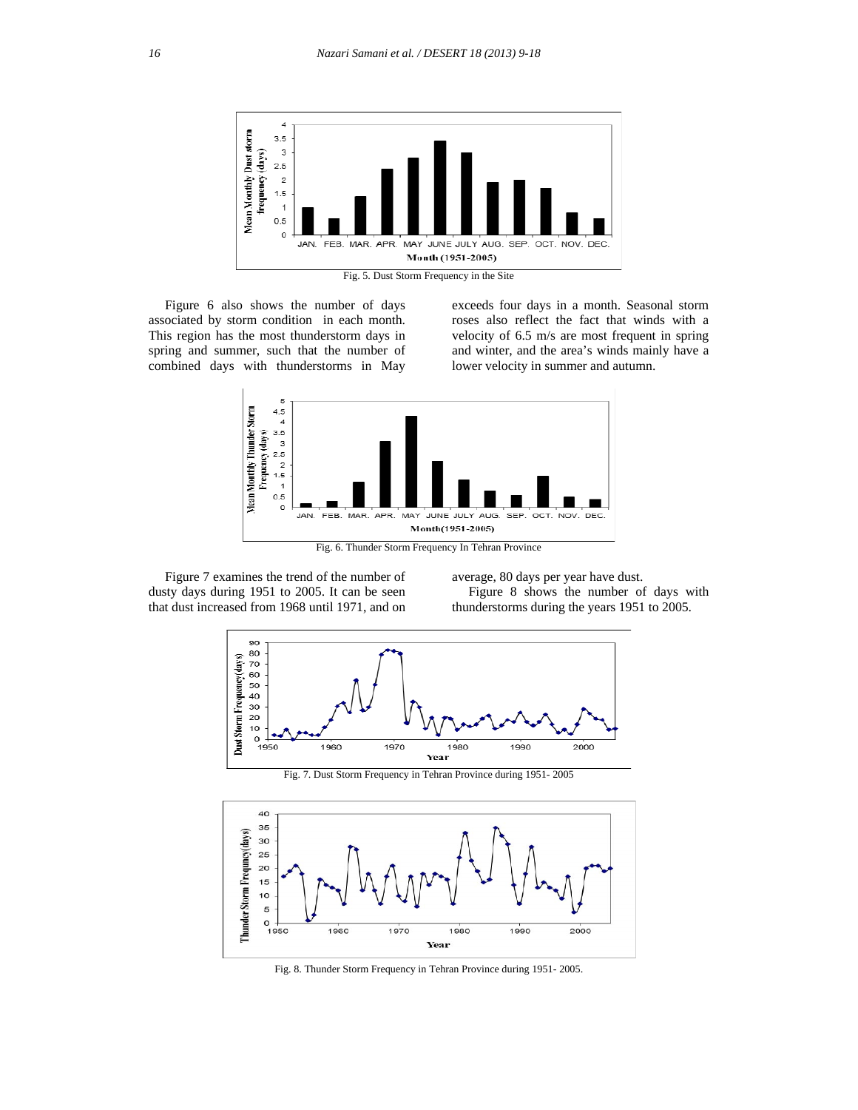

Fig. 5. Dust Storm Frequency in the Site

 Figure 6 also shows the number of days associated by storm condition in each month. This region has the most thunderstorm days in spring and summer, such that the number of combined days with thunderstorms in May

exceeds four days in a month. Seasonal storm roses also reflect the fact that winds with a velocity of 6.5 m/s are most frequent in spring and winter, and the area's winds mainly have a lower velocity in summer and autumn.



 Figure 7 examines the trend of the number of dusty days during 1951 to 2005. It can be seen that dust increased from 1968 until 1971, and on average, 80 days per year have dust.

 Figure 8 shows the number of days with thunderstorms during the years 1951 to 2005.



Fig. 7. Dust Storm Frequency in Tehran Province during 1951- 2005



Fig. 8. Thunder Storm Frequency in Tehran Province during 1951- 2005.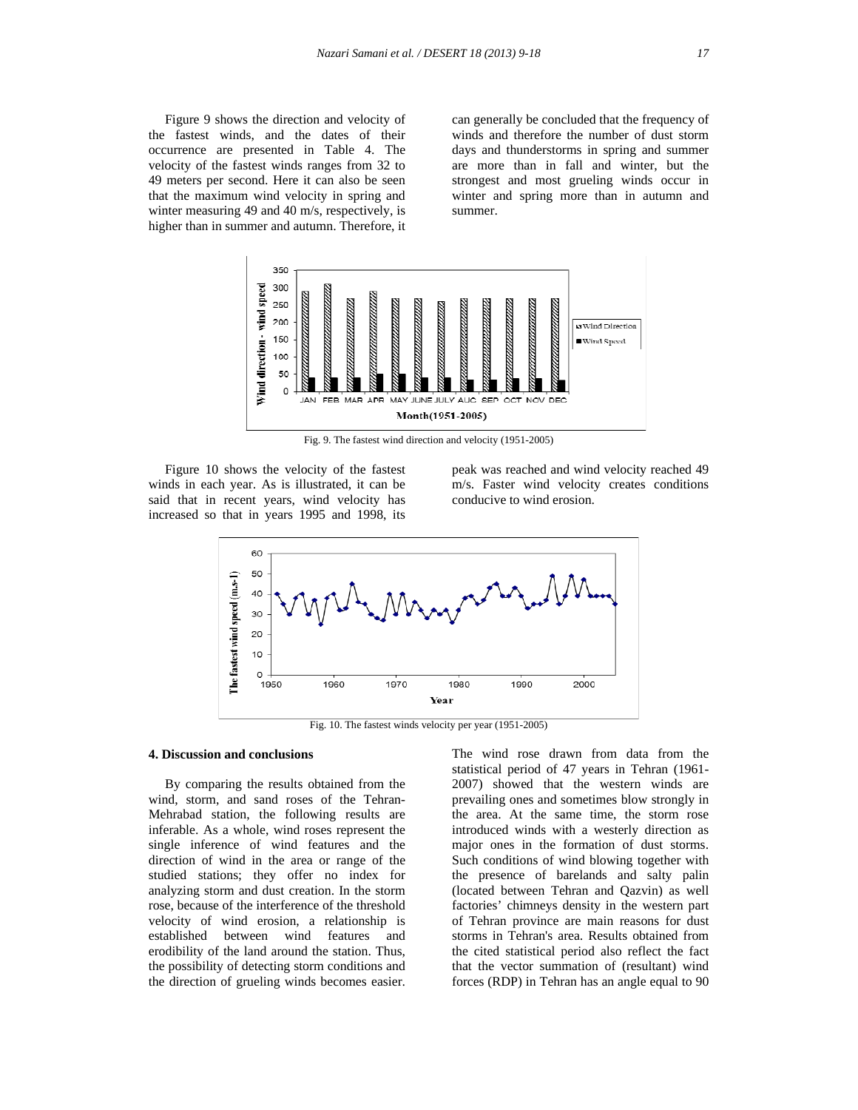Figure 9 shows the direction and velocity of the fastest winds, and the dates of their occurrence are presented in Table 4. The velocity of the fastest winds ranges from 32 to 49 meters per second. Here it can also be seen that the maximum wind velocity in spring and winter measuring 49 and 40 m/s, respectively, is higher than in summer and autumn. Therefore, it can generally be concluded that the frequency of winds and therefore the number of dust storm days and thunderstorms in spring and summer are more than in fall and winter, but the strongest and most grueling winds occur in winter and spring more than in autumn and summer.



Fig. 9. The fastest wind direction and velocity (1951-2005)

 Figure 10 shows the velocity of the fastest winds in each year. As is illustrated, it can be said that in recent years, wind velocity has increased so that in years 1995 and 1998, its

peak was reached and wind velocity reached 49 m/s. Faster wind velocity creates conditions conducive to wind erosion.



Fig. 10. The fastest winds velocity per year (1951-2005)

#### **4. Discussion and conclusions**

 By comparing the results obtained from the wind, storm, and sand roses of the Tehran-Mehrabad station, the following results are inferable. As a whole, wind roses represent the single inference of wind features and the direction of wind in the area or range of the studied stations; they offer no index for analyzing storm and dust creation. In the storm rose, because of the interference of the threshold velocity of wind erosion, a relationship is established between wind features and erodibility of the land around the station. Thus, the possibility of detecting storm conditions and the direction of grueling winds becomes easier. The wind rose drawn from data from the statistical period of 47 years in Tehran (1961- 2007) showed that the western winds are prevailing ones and sometimes blow strongly in the area. At the same time, the storm rose introduced winds with a westerly direction as major ones in the formation of dust storms. Such conditions of wind blowing together with the presence of barelands and salty palin (located between Tehran and Qazvin) as well factories' chimneys density in the western part of Tehran province are main reasons for dust storms in Tehran's area. Results obtained from the cited statistical period also reflect the fact that the vector summation of (resultant) wind forces (RDP) in Tehran has an angle equal to 90